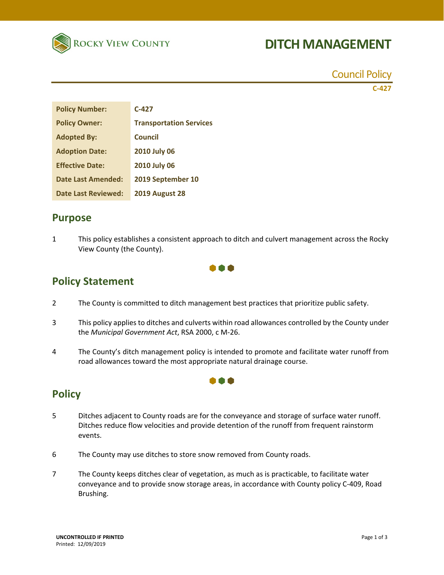

# **DITCH MANAGEMENT**

Council Policy **C‐427** 

| <b>Policy Number:</b>      | $C-427$                        |
|----------------------------|--------------------------------|
| <b>Policy Owner:</b>       | <b>Transportation Services</b> |
| <b>Adopted By:</b>         | <b>Council</b>                 |
| <b>Adoption Date:</b>      | <b>2010 July 06</b>            |
| <b>Effective Date:</b>     | <b>2010 July 06</b>            |
| <b>Date Last Amended:</b>  | 2019 September 10              |
| <b>Date Last Reviewed:</b> | <b>2019 August 28</b>          |

### **Purpose**

1 This policy establishes a consistent approach to ditch and culvert management across the Rocky View County (the County).



## **Policy Statement**

- 2 The County is committed to ditch management best practices that prioritize public safety.
- 3 This policy applies to ditches and culverts within road allowances controlled by the County under the *Municipal Government Act*, RSA 2000, c M‐26.
- 4 The County's ditch management policy is intended to promote and facilitate water runoff from road allowances toward the most appropriate natural drainage course.

m A

## **Policy**

- 5 Ditches adjacent to County roads are for the conveyance and storage of surface water runoff. Ditches reduce flow velocities and provide detention of the runoff from frequent rainstorm events.
- 6 The County may use ditches to store snow removed from County roads.
- 7 The County keeps ditches clear of vegetation, as much as is practicable, to facilitate water conveyance and to provide snow storage areas, in accordance with County policy C‐409, Road Brushing.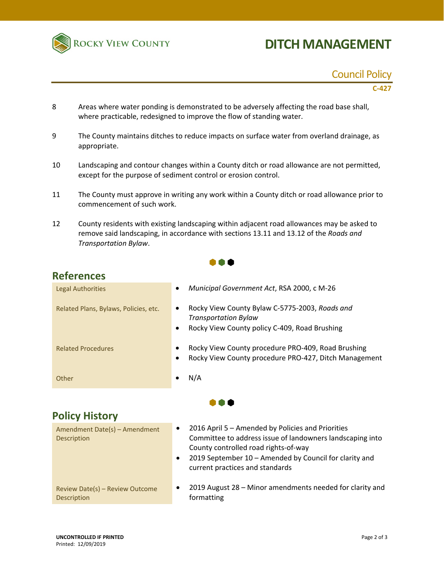

# **DITCH MANAGEMENT**

### Council Policy

#### **C‐427**

- 8 Areas where water ponding is demonstrated to be adversely affecting the road base shall, where practicable, redesigned to improve the flow of standing water.
- 9 The County maintains ditches to reduce impacts on surface water from overland drainage, as appropriate.
- 10 Landscaping and contour changes within a County ditch or road allowance are not permitted, except for the purpose of sediment control or erosion control.
- 11 The County must approve in writing any work within a County ditch or road allowance prior to commencement of such work.
- 12 County residents with existing landscaping within adjacent road allowances may be asked to remove said landscaping, in accordance with sections 13.11 and 13.12 of the *Roads and Transportation Bylaw*.

 $\bullet \bullet \bullet$ 

### **References**

| <b>Legal Authorities</b>              | Municipal Government Act, RSA 2000, c M-26<br>$\bullet$                                                                                                  |  |
|---------------------------------------|----------------------------------------------------------------------------------------------------------------------------------------------------------|--|
| Related Plans, Bylaws, Policies, etc. | Rocky View County Bylaw C-5775-2003, Roads and<br>$\bullet$<br><b>Transportation Bylaw</b><br>Rocky View County policy C-409, Road Brushing<br>$\bullet$ |  |
| <b>Related Procedures</b>             | Rocky View County procedure PRO-409, Road Brushing<br>٠<br>Rocky View County procedure PRO-427, Ditch Management<br>$\bullet$                            |  |
| Other                                 | N/A                                                                                                                                                      |  |
|                                       |                                                                                                                                                          |  |

| <b>Policy History</b>                          |                                                                                                                                                                                                                                                                               |
|------------------------------------------------|-------------------------------------------------------------------------------------------------------------------------------------------------------------------------------------------------------------------------------------------------------------------------------|
| Amendment Date(s) - Amendment<br>Description   | 2016 April 5 - Amended by Policies and Priorities<br>$\bullet$<br>Committee to address issue of landowners landscaping into<br>County controlled road rights-of-way<br>2019 September 10 - Amended by Council for clarity and<br>$\bullet$<br>current practices and standards |
| Review Date(s) - Review Outcome<br>Description | 2019 August 28 - Minor amendments needed for clarity and<br>٠<br>formatting                                                                                                                                                                                                   |

arity and